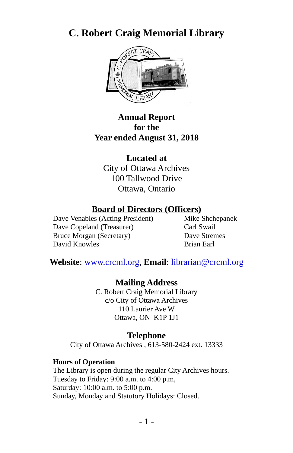# **C. Robert Craig Memorial Library**



#### **Annual Report for the Year ended August 31, 2018**

**Located at** City of Ottawa Archives 100 Tallwood Drive Ottawa, Ontario

# **Board of Directors (Officers)**<br>es (Acting President) Mike Shchepanek

Dave Venables (Acting President) Dave Copeland (Treasurer) Carl Swail Bruce Morgan (Secretary) Dave Stremes David Knowles **Brian Earl** 

**Website**: [www.crcml.org,](http://www.crcml.org/) **Email**: librarian@crcml.org

**Mailing Address**

C. Robert Craig Memorial Library c/o City of Ottawa Archives 110 Laurier Ave W Ottawa, ON K1P 1J1

#### **Telephone**

City of Ottawa Archives , 613-580-2424 ext. 13333

#### **Hours of Operation**

The Library is open during the regular City Archives hours. Tuesday to Friday: 9:00 a.m. to 4:00 p.m, Saturday: 10:00 a.m. to 5:00 p.m. Sunday, Monday and Statutory Holidays: Closed.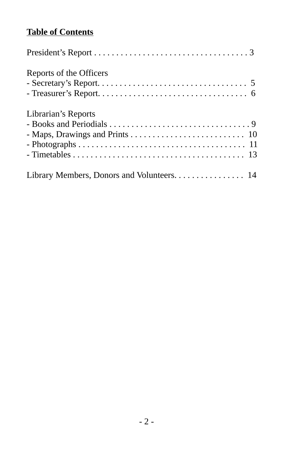# **Table of Contents**

| Reports of the Officers                    |
|--------------------------------------------|
| Librarian's Reports                        |
| Library Members, Donors and Volunteers. 14 |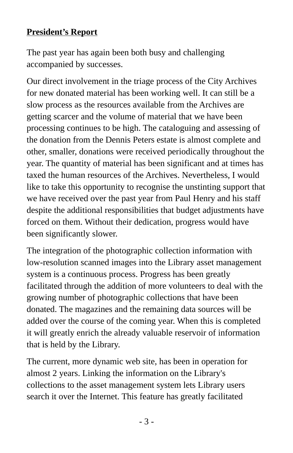# **President's Report**

The past year has again been both busy and challenging accompanied by successes.

Our direct involvement in the triage process of the City Archives for new donated material has been working well. It can still be a slow process as the resources available from the Archives are getting scarcer and the volume of material that we have been processing continues to be high. The cataloguing and assessing of the donation from the Dennis Peters estate is almost complete and other, smaller, donations were received periodically throughout the year. The quantity of material has been significant and at times has taxed the human resources of the Archives. Nevertheless, I would like to take this opportunity to recognise the unstinting support that we have received over the past year from Paul Henry and his staff despite the additional responsibilities that budget adjustments have forced on them. Without their dedication, progress would have been significantly slower.

The integration of the photographic collection information with low-resolution scanned images into the Library asset management system is a continuous process. Progress has been greatly facilitated through the addition of more volunteers to deal with the growing number of photographic collections that have been donated. The magazines and the remaining data sources will be added over the course of the coming year. When this is completed it will greatly enrich the already valuable reservoir of information that is held by the Library.

The current, more dynamic web site, has been in operation for almost 2 years. Linking the information on the Library's collections to the asset management system lets Library users search it over the Internet. This feature has greatly facilitated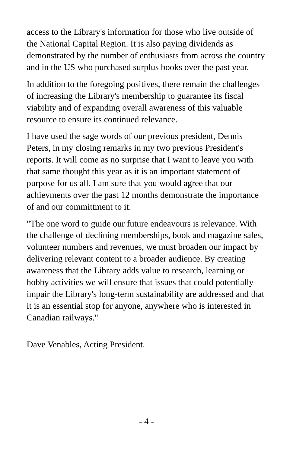access to the Library's information for those who live outside of the National Capital Region. It is also paying dividends as demonstrated by the number of enthusiasts from across the country and in the US who purchased surplus books over the past year.

In addition to the foregoing positives, there remain the challenges of increasing the Library's membership to guarantee its fiscal viability and of expanding overall awareness of this valuable resource to ensure its continued relevance.

I have used the sage words of our previous president, Dennis Peters, in my closing remarks in my two previous President's reports. It will come as no surprise that I want to leave you with that same thought this year as it is an important statement of purpose for us all. I am sure that you would agree that our achievments over the past 12 months demonstrate the importance of and our committment to it.

"The one word to guide our future endeavours is relevance. With the challenge of declining memberships, book and magazine sales, volunteer numbers and revenues, we must broaden our impact by delivering relevant content to a broader audience. By creating awareness that the Library adds value to research, learning or hobby activities we will ensure that issues that could potentially impair the Library's long-term sustainability are addressed and that it is an essential stop for anyone, anywhere who is interested in Canadian railways."

Dave Venables, Acting President.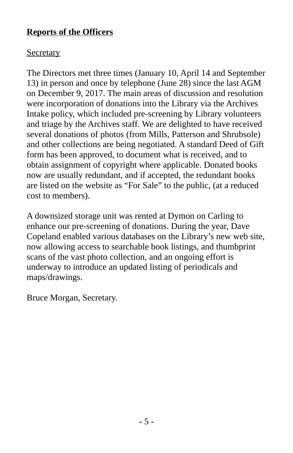#### **Reports of the Officers**

# **Secretary**

The Directors met three times (January 10, April 14 and September 13) in person and once by telephone (June 28) since the last AGM on December 9, 2017. The main areas of discussion and resolution were incorporation of donations into the Library via the Archives Intake policy, which included pre-screening by Library volunteers and triage by the Archives staff. We are delighted to have received several donations of photos (from Mills, Patterson and Shrubsole) and other collections are being negotiated. A standard Deed of Gift form has been approved, to document what is received, and to obtain assignment of copyright where applicable. Donated books now are usually redundant, and if accepted, the redundant books are listed on the website as "For Sale" to the public, (at a reduced cost to members).

A downsized storage unit was rented at Dymon on Carling to enhance our pre-screening of donations. During the year, Dave Copeland enabled various databases on the Library's new web site, now allowing access to searchable book listings, and thumbprint scans of the vast photo collection, and an ongoing effort is underway to introduce an updated listing of periodicals and maps/drawings.

Bruce Morgan, Secretary.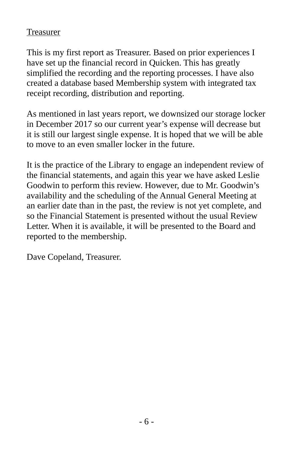#### Treasurer

This is my first report as Treasurer. Based on prior experiences I have set up the financial record in Quicken. This has greatly simplified the recording and the reporting processes. I have also created a database based Membership system with integrated tax receipt recording, distribution and reporting.

As mentioned in last years report, we downsized our storage locker in December 2017 so our current year's expense will decrease but it is still our largest single expense. It is hoped that we will be able to move to an even smaller locker in the future.

It is the practice of the Library to engage an independent review of the financial statements, and again this year we have asked Leslie Goodwin to perform this review. However, due to Mr. Goodwin's availability and the scheduling of the Annual General Meeting at an earlier date than in the past, the review is not yet complete, and so the Financial Statement is presented without the usual Review Letter. When it is available, it will be presented to the Board and reported to the membership.

Dave Copeland, Treasurer.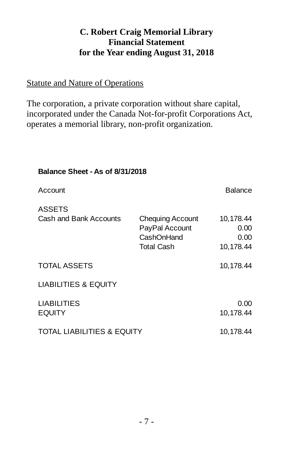## **C. Robert Craig Memorial Library Financial Statement for the Year ending August 31, 2018**

#### Statute and Nature of Operations

The corporation, a private corporation without share capital, incorporated under the Canada Not-for-profit Corporations Act, operates a memorial library, non-profit organization.

| <b>Balance Sheet - As of 8/31/2018</b>  |                                                                              |                                        |  |
|-----------------------------------------|------------------------------------------------------------------------------|----------------------------------------|--|
| Account                                 |                                                                              | Balance                                |  |
| <b>ASSETS</b><br>Cash and Bank Accounts | <b>Chequing Account</b><br>PayPal Account<br>CashOnHand<br><b>Total Cash</b> | 10,178.44<br>0.00<br>0.00<br>10,178.44 |  |
| <b>TOTAL ASSETS</b>                     |                                                                              | 10,178.44                              |  |
| <b>LIABILITIES &amp; EQUITY</b>         |                                                                              |                                        |  |
| <b>LIABILITIES</b><br><b>EQUITY</b>     |                                                                              | 0.00<br>10,178.44                      |  |
| <b>TOTAL LIABILITIES &amp; EQUITY</b>   |                                                                              | 10,178.44                              |  |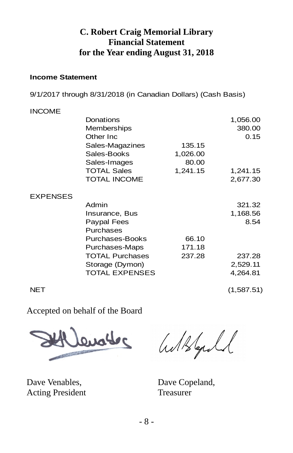#### **C. Robert Craig Memorial Library Financial Statement for the Year ending August 31, 2018**

#### **Income Statement**

9/1/2017 through 8/31/2018 (in Canadian Dollars) (Cash Basis)

#### INCOME

|                 | Donations<br>Memberships<br>Other Inc |          | 1,056.00<br>380.00<br>0.15 |
|-----------------|---------------------------------------|----------|----------------------------|
|                 | Sales-Magazines                       | 135.15   |                            |
|                 | Sales-Books                           | 1,026.00 |                            |
|                 | Sales-Images                          | 80.00    |                            |
|                 | <b>TOTAL Sales</b>                    | 1,241.15 | 1,241.15                   |
|                 | <b>TOTAL INCOME</b>                   |          | 2,677.30                   |
| <b>EXPENSES</b> |                                       |          |                            |
|                 | Admin                                 |          | 321.32                     |
|                 | Insurance, Bus                        |          | 1,168.56                   |
|                 | Paypal Fees                           |          | 8.54                       |
|                 | <b>Purchases</b>                      |          |                            |
|                 | Purchases-Books                       | 66.10    |                            |
|                 | Purchases-Maps                        | 171.18   |                            |
|                 | <b>TOTAL Purchases</b>                | 237.28   | 237.28                     |
|                 | Storage (Dymon)                       |          | 2,529.11                   |
|                 | <b>TOTAL EXPENSES</b>                 |          | 4,264.81                   |
| <b>NET</b>      |                                       |          | (1,587.51)                 |

Accepted on behalf of the Board



Dave Venables, Dave Copeland, Acting President Treasurer

Withford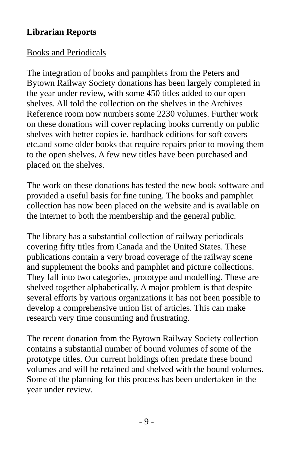#### **Librarian Reports**

#### Books and Periodicals

The integration of books and pamphlets from the Peters and Bytown Railway Society donations has been largely completed in the year under review, with some 450 titles added to our open shelves. All told the collection on the shelves in the Archives Reference room now numbers some 2230 volumes. Further work on these donations will cover replacing books currently on public shelves with better copies ie. hardback editions for soft covers etc.and some older books that require repairs prior to moving them to the open shelves. A few new titles have been purchased and placed on the shelves.

The work on these donations has tested the new book software and provided a useful basis for fine tuning. The books and pamphlet collection has now been placed on the website and is available on the internet to both the membership and the general public.

The library has a substantial collection of railway periodicals covering fifty titles from Canada and the United States. These publications contain a very broad coverage of the railway scene and supplement the books and pamphlet and picture collections. They fall into two categories, prototype and modelling. These are shelved together alphabetically. A major problem is that despite several efforts by various organizations it has not been possible to develop a comprehensive union list of articles. This can make research very time consuming and frustrating.

The recent donation from the Bytown Railway Society collection contains a substantial number of bound volumes of some of the prototype titles. Our current holdings often predate these bound volumes and will be retained and shelved with the bound volumes. Some of the planning for this process has been undertaken in the year under review.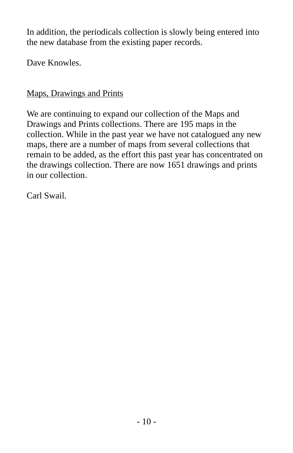In addition, the periodicals collection is slowly being entered into the new database from the existing paper records.

Dave Knowles.

# Maps, Drawings and Prints

We are continuing to expand our collection of the Maps and Drawings and Prints collections. There are 195 maps in the collection. While in the past year we have not catalogued any new maps, there are a number of maps from several collections that remain to be added, as the effort this past year has concentrated on the drawings collection. There are now 1651 drawings and prints in our collection.

Carl Swail.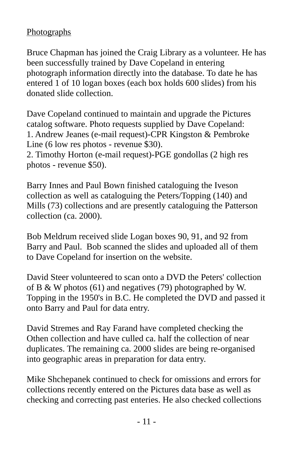## **Photographs**

Bruce Chapman has joined the Craig Library as a volunteer. He has been successfully trained by Dave Copeland in entering photograph information directly into the database. To date he has entered 1 of 10 logan boxes (each box holds 600 slides) from his donated slide collection.

Dave Copeland continued to maintain and upgrade the Pictures catalog software. Photo requests supplied by Dave Copeland: 1. Andrew Jeanes (e-mail request)-CPR Kingston & Pembroke Line (6 low res photos - revenue \$30).

2. Timothy Horton (e-mail request)-PGE gondollas (2 high res photos - revenue \$50).

Barry Innes and Paul Bown finished cataloguing the Iveson collection as well as cataloguing the Peters/Topping (140) and Mills (73) collections and are presently cataloguing the Patterson collection (ca. 2000).

Bob Meldrum received slide Logan boxes 90, 91, and 92 from Barry and Paul. Bob scanned the slides and uploaded all of them to Dave Copeland for insertion on the website.

David Steer volunteered to scan onto a DVD the Peters' collection of B & W photos (61) and negatives (79) photographed by W. Topping in the 1950's in B.C. He completed the DVD and passed it onto Barry and Paul for data entry.

David Stremes and Ray Farand have completed checking the Othen collection and have culled ca. half the collection of near duplicates. The remaining ca. 2000 slides are being re-organised into geographic areas in preparation for data entry.

Mike Shchepanek continued to check for omissions and errors for collections recently entered on the Pictures data base as well as checking and correcting past enteries. He also checked collections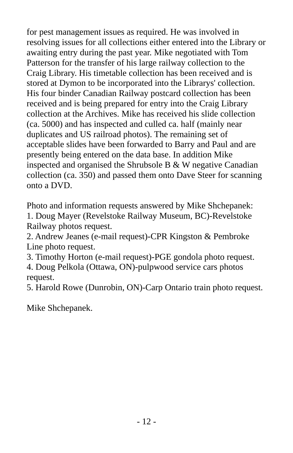for pest management issues as required. He was involved in resolving issues for all collections either entered into the Library or awaiting entry during the past year. Mike negotiated with Tom Patterson for the transfer of his large railway collection to the Craig Library. His timetable collection has been received and is stored at Dymon to be incorporated into the Librarys' collection. His four binder Canadian Railway postcard collection has been received and is being prepared for entry into the Craig Library collection at the Archives. Mike has received his slide collection (ca. 5000) and has inspected and culled ca. half (mainly near duplicates and US railroad photos). The remaining set of acceptable slides have been forwarded to Barry and Paul and are presently being entered on the data base. In addition Mike inspected and organised the Shrubsole B & W negative Canadian collection (ca. 350) and passed them onto Dave Steer for scanning onto a DVD.

Photo and information requests answered by Mike Shchepanek: 1. Doug Mayer (Revelstoke Railway Museum, BC)-Revelstoke Railway photos request.

2. Andrew Jeanes (e-mail request)-CPR Kingston & Pembroke Line photo request.

3. Timothy Horton (e-mail request)-PGE gondola photo request. 4. Doug Pelkola (Ottawa, ON)-pulpwood service cars photos request.

5. Harold Rowe (Dunrobin, ON)-Carp Ontario train photo request.

Mike Shchepanek.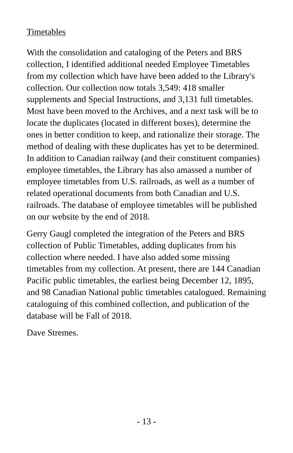# Timetables

With the consolidation and cataloging of the Peters and BRS collection, I identified additional needed Employee Timetables from my collection which have have been added to the Library's collection. Our collection now totals 3,549: 418 smaller supplements and Special Instructions, and 3,131 full timetables. Most have been moved to the Archives, and a next task will be to locate the duplicates (located in different boxes), determine the ones in better condition to keep, and rationalize their storage. The method of dealing with these duplicates has yet to be determined. In addition to Canadian railway (and their constituent companies) employee timetables, the Library has also amassed a number of employee timetables from U.S. railroads, as well as a number of related operational documents from both Canadian and U.S. railroads. The database of employee timetables will be published on our website by the end of 2018.

Gerry Gaugl completed the integration of the Peters and BRS collection of Public Timetables, adding duplicates from his collection where needed. I have also added some missing timetables from my collection. At present, there are 144 Canadian Pacific public timetables, the earliest being December 12, 1895, and 98 Canadian National public timetables catalogued. Remaining cataloguing of this combined collection, and publication of the database will be Fall of 2018.

Dave Stremes.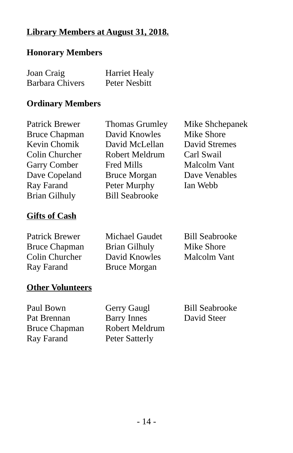## **Library Members at August 31, 2018.**

#### **Honorary Members**

| Joan Craig             | <b>Harriet Healy</b> |
|------------------------|----------------------|
| <b>Barbara Chivers</b> | Peter Nesbitt        |

#### **Ordinary Members**

| Patrick Brewer       | <b>Thomas Grumley</b> | Mike Shchepanek      |
|----------------------|-----------------------|----------------------|
| <b>Bruce Chapman</b> | David Knowles         | Mike Shore           |
| <b>Kevin Chomik</b>  | David McLellan        | <b>David Stremes</b> |
| Colin Churcher       | Robert Meldrum        | Carl Swail           |
| <b>Garry Comber</b>  | <b>Fred Mills</b>     | Malcolm Vant         |
| Dave Copeland        | <b>Bruce Morgan</b>   | Dave Venables        |
| Ray Farand           | Peter Murphy          | Ian Webb             |
| <b>Brian Gilhuly</b> | <b>Bill Seabrooke</b> |                      |
|                      |                       |                      |

# **Gifts of Cash**

| Patrick Brewer       | Michael Gaudet       | <b>Bill Seabrooke</b> |
|----------------------|----------------------|-----------------------|
| <b>Bruce Chapman</b> | <b>Brian Gilhuly</b> | Mike Shore            |
| Colin Churcher       | David Knowles        | Malcolm Vant          |
| Ray Farand           | <b>Bruce Morgan</b>  |                       |

#### **Other Volunteers**

Ray Farand Peter Satterly

Paul Bown Gerry Gaugl Bill Seabrooke Pat Brennan Barry Innes David Steer Bruce Chapman Robert Meldrum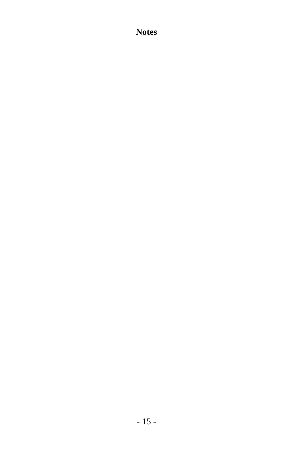## **Notes**